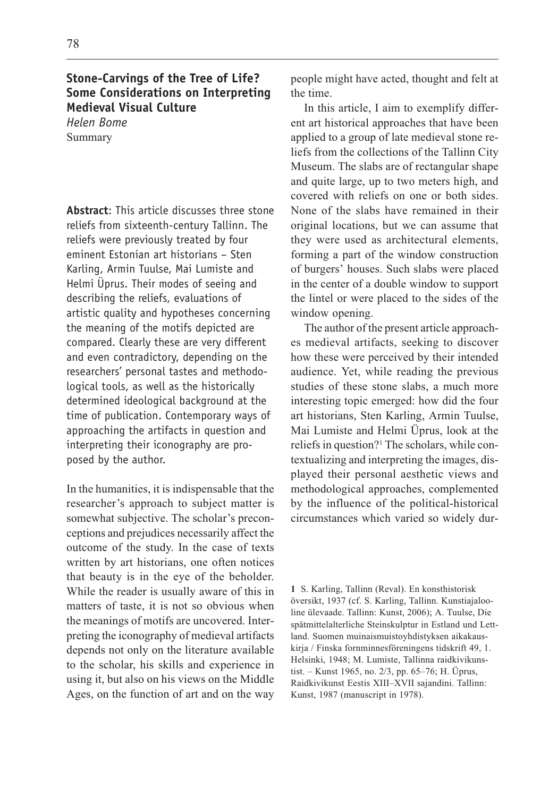## **Stone-Carvings of the Tree of Life? Some Considerations on Interpreting Medieval Visual Culture**

*Helen Bome* Summary

**Abstract**: This article discusses three stone reliefs from sixteenth-century Tallinn. The reliefs were previously treated by four eminent Estonian art historians – Sten Karling, Armin Tuulse, Mai Lumiste and Helmi Üprus. Their modes of seeing and describing the reliefs, evaluations of artistic quality and hypotheses concerning the meaning of the motifs depicted are compared. Clearly these are very different and even contradictory, depending on the researchers' personal tastes and methodological tools, as well as the historically determined ideological background at the time of publication. Contemporary ways of approaching the artifacts in question and interpreting their iconography are proposed by the author.

In the humanities, it is indispensable that the researcher's approach to subject matter is somewhat subjective. The scholar's preconceptions and prejudices necessarily affect the outcome of the study. In the case of texts written by art historians, one often notices that beauty is in the eye of the beholder. While the reader is usually aware of this in matters of taste, it is not so obvious when the meanings of motifs are uncovered. Interpreting the iconography of medieval artifacts depends not only on the literature available to the scholar, his skills and experience in using it, but also on his views on the Middle Ages, on the function of art and on the way people might have acted, thought and felt at the time.

In this article, I aim to exemplify different art historical approaches that have been applied to a group of late medieval stone reliefs from the collections of the Tallinn City Museum. The slabs are of rectangular shape and quite large, up to two meters high, and covered with reliefs on one or both sides. None of the slabs have remained in their original locations, but we can assume that they were used as architectural elements, forming a part of the window construction of burgers' houses. Such slabs were placed in the center of a double window to support the lintel or were placed to the sides of the window opening.

The author of the present article approaches medieval artifacts, seeking to discover how these were perceived by their intended audience. Yet, while reading the previous studies of these stone slabs, a much more interesting topic emerged: how did the four art historians, Sten Karling, Armin Tuulse, Mai Lumiste and Helmi Üprus, look at the reliefs in question?<sup>1</sup> The scholars, while contextualizing and interpreting the images, displayed their personal aesthetic views and methodological approaches, complemented by the influence of the political-historical circumstances which varied so widely dur-

1 S. Karling, Tallinn (Reval). En konsthistorisk översikt, 1937 (cf. S. Karling, Tallinn. Kunstiajalooline ülevaade. Tallinn: Kunst, 2006); A. Tuulse, Die spätmittelalterliche Steinskulptur in Estland und Lettland. Suomen muinaismuistoyhdistyksen aikakauskirja / Finska fornminnesföreningens tidskrift 49, 1. Helsinki, 1948; M. Lumiste, Tallinna raidkivikunstist. – Kunst 1965, no.  $2/3$ , pp. 65–76; H. Üprus, Raidkivikunst Eestis XIII-XVII sajandini. Tallinn: Kunst, 1987 (manuscript in 1978).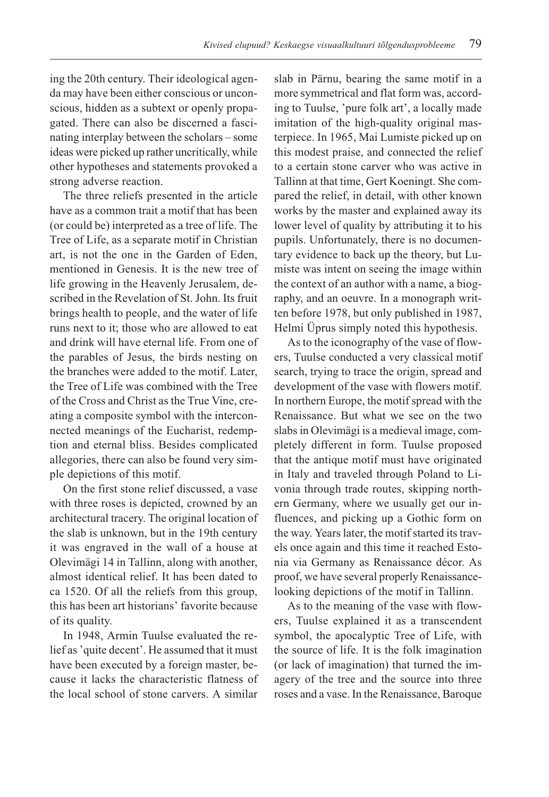ing the 20th century. Their ideological agenda may have been either conscious or unconscious, hidden as a subtext or openly propagated. There can also be discerned a fascinating interplay between the scholars – some ideas were picked up rather uncritically, while other hypotheses and statements provoked a strong adverse reaction.

The three reliefs presented in the article have as a common trait a motif that has been (or could be) interpreted as a tree of life. The Tree of Life, as a separate motif in Christian art, is not the one in the Garden of Eden, mentioned in Genesis. It is the new tree of life growing in the Heavenly Jerusalem, described in the Revelation of St. John. Its fruit brings health to people, and the water of life runs next to it; those who are allowed to eat and drink will have eternal life. From one of the parables of Jesus, the birds nesting on the branches were added to the motif. Later, the Tree of Life was combined with the Tree of the Cross and Christ as the True Vine, creating a composite symbol with the interconnected meanings of the Eucharist, redemption and eternal bliss. Besides complicated allegories, there can also be found very simple depictions of this motif.

On the first stone relief discussed, a vase with three roses is depicted, crowned by an architectural tracery. The original location of the slab is unknown, but in the 19th century it was engraved in the wall of a house at Olevimägi 14 in Tallinn, along with another, almost identical relief. It has been dated to ca 1520. Of all the reliefs from this group, this has been art historians' favorite because of its quality.

In 1948, Armin Tuulse evaluated the relief as 'quite decent'. He assumed that it must have been executed by a foreign master, because it lacks the characteristic flatness of the local school of stone carvers. A similar

slab in Pärnu, bearing the same motif in a more symmetrical and flat form was, according to Tuulse, 'pure folk art', a locally made imitation of the high-quality original masterpiece. In 1965, Mai Lumiste picked up on this modest praise, and connected the relief to a certain stone carver who was active in Tallinn at that time, Gert Koeningt. She compared the relief, in detail, with other known works by the master and explained away its lower level of quality by attributing it to his pupils. Unfortunately, there is no documentary evidence to back up the theory, but Lumiste was intent on seeing the image within the context of an author with a name, a biography, and an oeuvre. In a monograph written before 1978, but only published in 1987, Helmi Üprus simply noted this hypothesis.

As to the iconography of the vase of flowers, Tuulse conducted a very classical motif search, trying to trace the origin, spread and development of the vase with flowers motif. In northern Europe, the motif spread with the Renaissance. But what we see on the two slabs in Olevimägi is a medieval image, completely different in form. Tuulse proposed that the antique motif must have originated in Italy and traveled through Poland to Livonia through trade routes, skipping northern Germany, where we usually get our influences, and picking up a Gothic form on the way. Years later, the motif started its travels once again and this time it reached Estonia via Germany as Renaissance décor. As proof, we have several properly Renaissancelooking depictions of the motif in Tallinn.

As to the meaning of the vase with flowers, Tuulse explained it as a transcendent symbol, the apocalyptic Tree of Life, with the source of life. It is the folk imagination (or lack of imagination) that turned the imagery of the tree and the source into three roses and a vase. In the Renaissance, Baroque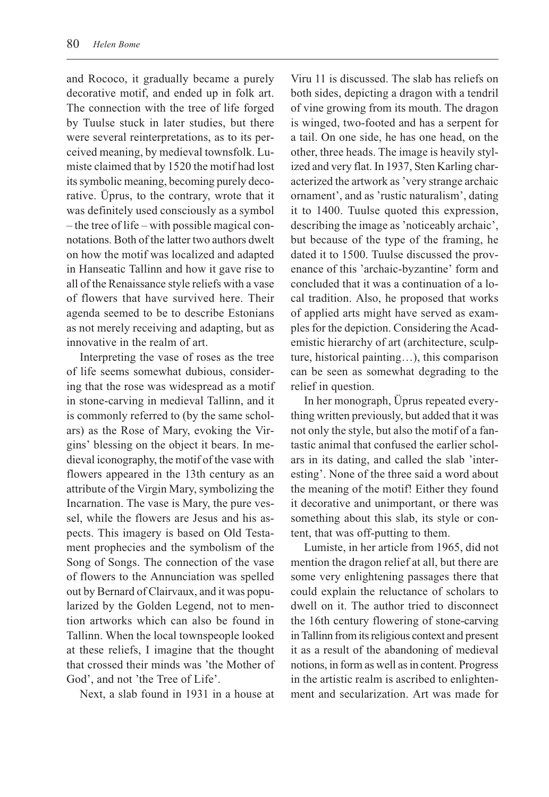and Rococo, it gradually became a purely decorative motif, and ended up in folk art. The connection with the tree of life forged by Tuulse stuck in later studies, but there were several reinterpretations, as to its perceived meaning, by medieval townsfolk. Lumiste claimed that by 1520 the motif had lost its symbolic meaning, becoming purely decorative. Üprus, to the contrary, wrote that it was definitely used consciously as a symbol  $-$  the tree of life  $-$  with possible magical connotations. Both of the latter two authors dwelt on how the motif was localized and adapted in Hanseatic Tallinn and how it gave rise to all of the Renaissance style reliefs with a vase of flowers that have survived here. Their agenda seemed to be to describe Estonians as not merely receiving and adapting, but as innovative in the realm of art.

Interpreting the vase of roses as the tree of life seems somewhat dubious, considering that the rose was widespread as a motif in stone-carving in medieval Tallinn, and it is commonly referred to (by the same scholars) as the Rose of Mary, evoking the Virgins' blessing on the object it bears. In medieval iconography, the motif of the vase with flowers appeared in the 13th century as an attribute of the Virgin Mary, symbolizing the Incarnation. The vase is Mary, the pure vessel, while the flowers are Jesus and his aspects. This imagery is based on Old Testament prophecies and the symbolism of the Song of Songs. The connection of the vase of flowers to the Annunciation was spelled out by Bernard of Clairvaux, and it was popularized by the Golden Legend, not to mention artworks which can also be found in Tallinn. When the local townspeople looked at these reliefs, I imagine that the thought that crossed their minds was 'the Mother of God', and not 'the Tree of Life'.

Next, a slab found in 1931 in a house at

Viru 11 is discussed. The slab has reliefs on both sides, depicting a dragon with a tendril of vine growing from its mouth. The dragon is winged, two-footed and has a serpent for a tail. On one side, he has one head, on the other, three heads. The image is heavily stylized and very flat. In 1937, Sten Karling characterized the artwork as 'very strange archaic ornament', and as 'rustic naturalism', dating it to 1400. Tuulse quoted this expression, describing the image as 'noticeably archaic', but because of the type of the framing, he dated it to 1500. Tuulse discussed the provenance of this 'archaic-byzantine' form and concluded that it was a continuation of a local tradition. Also, he proposed that works of applied arts might have served as examples for the depiction. Considering the Academistic hierarchy of art (architecture, sculpture, historical painting...), this comparison can be seen as somewhat degrading to the relief in question.

In her monograph, Üprus repeated everything written previously, but added that it was not only the style, but also the motif of a fantastic animal that confused the earlier scholars in its dating, and called the slab 'interesting'. None of the three said a word about the meaning of the motif! Either they found it decorative and unimportant, or there was something about this slab, its style or content, that was off-putting to them.

Lumiste, in her article from 1965, did not mention the dragon relief at all, but there are some very enlightening passages there that could explain the reluctance of scholars to dwell on it. The author tried to disconnect the 16th century flowering of stone-carving in Tallinn from its religious context and present it as a result of the abandoning of medieval notions, in form as well as in content. Progress in the artistic realm is ascribed to enlightenment and secularization. Art was made for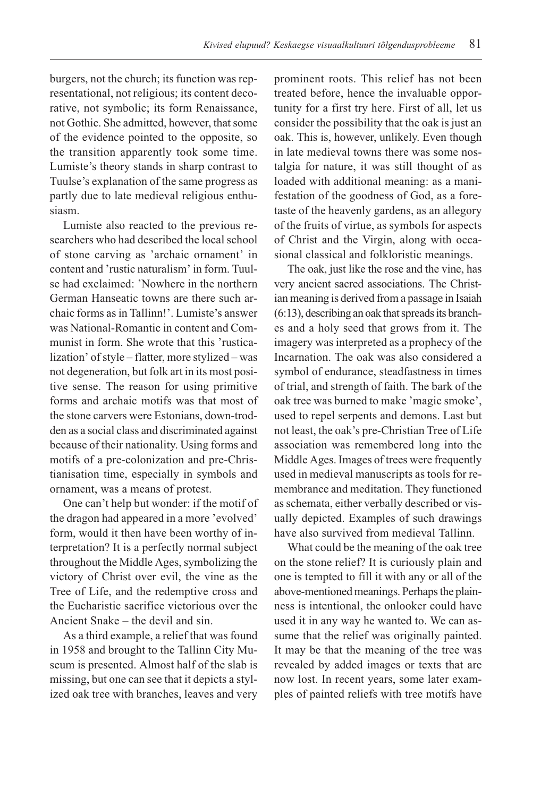burgers, not the church; its function was representational, not religious; its content decorative, not symbolic; its form Renaissance, not Gothic. She admitted, however, that some of the evidence pointed to the opposite, so the transition apparently took some time. Lumiste's theory stands in sharp contrast to Tuulse's explanation of the same progress as partly due to late medieval religious enthusiasm.

Lumiste also reacted to the previous researchers who had described the local school of stone carving as 'archaic ornament' in content and 'rustic naturalism' in form. Tuulse had exclaimed: Nowhere in the northern German Hanseatic towns are there such archaic forms as in Tallinn!'. Lumiste's answer was National-Romantic in content and Communist in form. She wrote that this 'rusticalization' of style – flatter, more stylized – was not degeneration, but folk art in its most positive sense. The reason for using primitive forms and archaic motifs was that most of the stone carvers were Estonians, down-trodden as a social class and discriminated against because of their nationality. Using forms and motifs of a pre-colonization and pre-Christianisation time, especially in symbols and ornament, was a means of protest.

One can't help but wonder: if the motif of the dragon had appeared in a more 'evolved' form, would it then have been worthy of interpretation? It is a perfectly normal subject throughout the Middle Ages, symbolizing the victory of Christ over evil, the vine as the Tree of Life, and the redemptive cross and the Eucharistic sacrifice victorious over the Ancient Snake  $-$  the devil and sin.

As a third example, a relief that was found in 1958 and brought to the Tallinn City Museum is presented. Almost half of the slab is missing, but one can see that it depicts a stylized oak tree with branches, leaves and very prominent roots. This relief has not been treated before, hence the invaluable opportunity for a first try here. First of all, let us consider the possibility that the oak is just an oak. This is, however, unlikely. Even though in late medieval towns there was some nostalgia for nature, it was still thought of as loaded with additional meaning: as a manifestation of the goodness of God, as a foretaste of the heavenly gardens, as an allegory of the fruits of virtue, as symbols for aspects of Christ and the Virgin, along with occasional classical and folkloristic meanings.

The oak, just like the rose and the vine, has very ancient sacred associations. The Christian meaning is derived from a passage in Isaiah (6:13), describing an oak that spreads its branches and a holy seed that grows from it. The imagery was interpreted as a prophecy of the Incarnation. The oak was also considered a symbol of endurance, steadfastness in times of trial, and strength of faith. The bark of the oak tree was burned to make 'magic smoke', used to repel serpents and demons. Last but not least, the oak's pre-Christian Tree of Life association was remembered long into the Middle Ages. Images of trees were frequently used in medieval manuscripts as tools for remembrance and meditation. They functioned as schemata, either verbally described or visually depicted. Examples of such drawings have also survived from medieval Tallinn.

What could be the meaning of the oak tree on the stone relief? It is curiously plain and one is tempted to fill it with any or all of the above-mentioned meanings. Perhaps the plainness is intentional, the onlooker could have used it in any way he wanted to. We can assume that the relief was originally painted. It may be that the meaning of the tree was revealed by added images or texts that are now lost. In recent years, some later examples of painted reliefs with tree motifs have